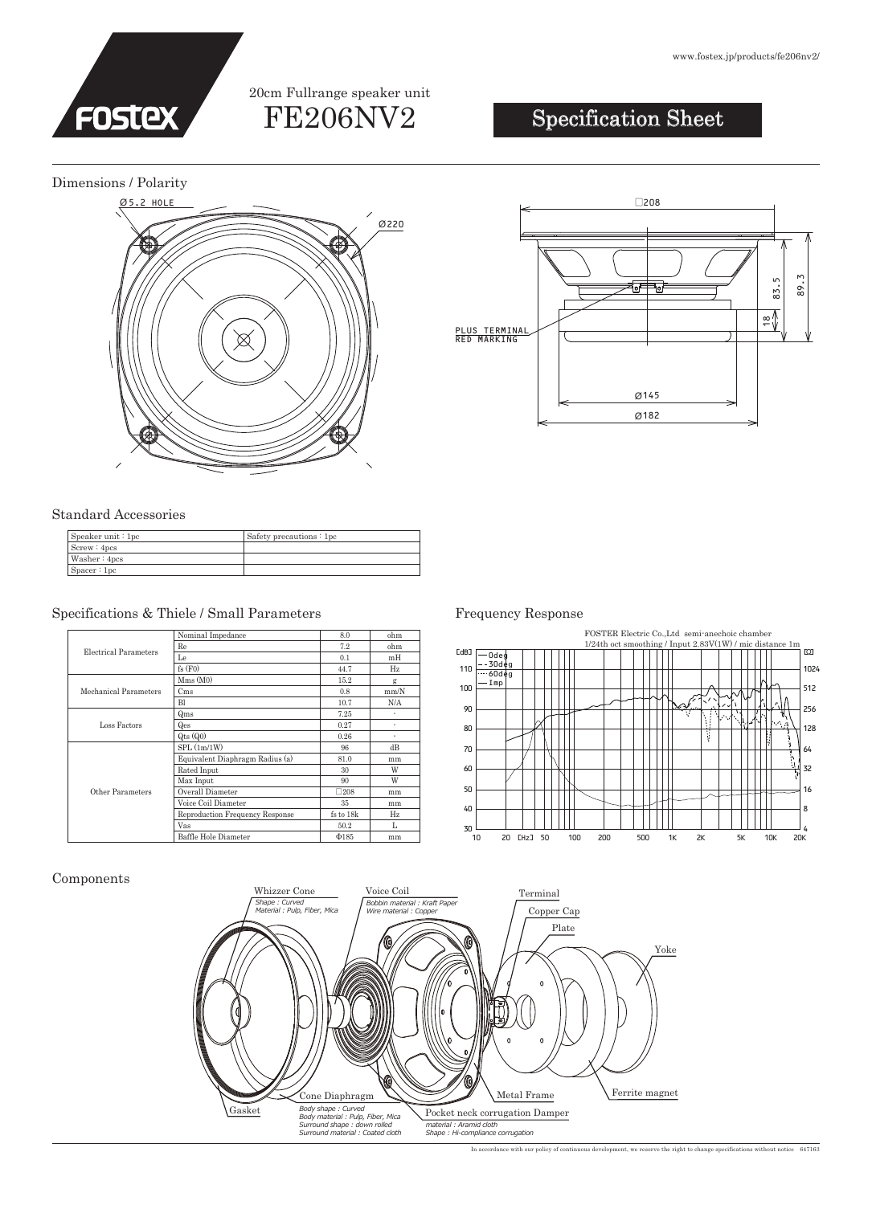

## FE206NV2 20cm Fullrange speaker unit

# Specification Sheet

Dimensions / Polarity



#### Standard Accessories

Components

| Speaker unit : 1pc | Safety precautions: 1pc |
|--------------------|-------------------------|
| Screw: 4pcs        |                         |
| Washer: 4pcs       |                         |
| Space:1pc          |                         |

### Specifications & Thiele / Small Parameters Frequency Response

| Electrical Parameters | Nominal Impedance               | 8.0           | ohm  |
|-----------------------|---------------------------------|---------------|------|
|                       | Re                              | 7.2           | ohm  |
|                       | Le                              | 0.1           | mH   |
|                       | fs(F0)                          | 44.7          | Hz   |
| Mechanical Parameters | Mms(M0)                         | 15.2          | g    |
|                       | C <sub>ms</sub>                 | 0.8           | mm/N |
|                       | <b>Bl</b>                       | 10.7          | N/A  |
| Loss Factors          | Qms                             | 7.25          | ٠    |
|                       | Qes                             | 0.27          | ٠    |
|                       | $Q$ ts $(Q0)$                   | 0.26          | ٠    |
| Other Parameters      | SPL(1m/1W)                      | 96            | dB   |
|                       | Equivalent Diaphragm Radius (a) | 81.0          | mm   |
|                       | Rated Input                     | 30            | W    |
|                       | Max Input                       | 90            | W    |
|                       | Overall Diameter                | $\square 208$ | mm   |
|                       | Voice Coil Diameter             | 35            | mm   |
|                       | Reproduction Frequency Response | fs to 18k     | Hz   |
|                       | Vas                             | 50.2          | L    |
|                       | Baffle Hole Diameter            | $\Phi$ 185    | mm   |

145 Ø 182 Ø  $\frac{1}{\sqrt{2}}$ 83.5 89.3 PLUS TERMINAL RED MARKING





In accordance with our policy of continuous development, we reserve the right to change specifications without notice 647163